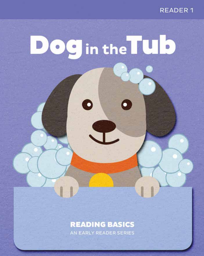**READER1** 

# Dog in the Tulb

 $\bullet$ 

O

#### **READING BASICS**

AN EARLY READER SERIES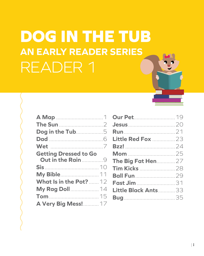# **DOG IN THE TUB AN EARLY READER SERIES** READER 1

| <b>Dog in the Tub5</b>                            |  |
|---------------------------------------------------|--|
|                                                   |  |
|                                                   |  |
| <b>Getting Dressed to Go</b><br>Out in the Rain 9 |  |
|                                                   |  |
|                                                   |  |
| <b>What Is in the Pot?</b> 12                     |  |
| <b>My Rag Doll  14</b>                            |  |
|                                                   |  |
| <b>A Very Big Mess! 17</b>                        |  |

| <b>Little Red Fox  23</b> |
|---------------------------|
|                           |
|                           |
| The Big Fat Hen27         |
| Tim Kicks  28             |
|                           |
| Fast Jim 31               |
| Little Black Ants33       |
|                           |
|                           |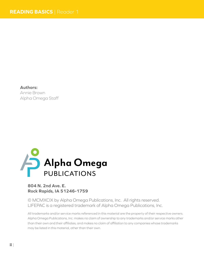**Authors:**

Annie Brown Alpha Omega Staff



#### **804 N. 2nd Ave. E. Rock Rapids, IA 51246-1759**

© MCMXCIX by Alpha Omega Publications, Inc. All rights reserved. LIFEPAC is a registered trademark of Alpha Omega Publications, Inc.

All trademarks and/or service marks referenced in this material are the property of their respective owners. Alpha Omega Publications, Inc. makes no claim of ownership to any trademarks and/or service marks other than their own and their affiliates, and makes no claim of affiliation to any companies whose trademarks may be listed in this material, other than their own.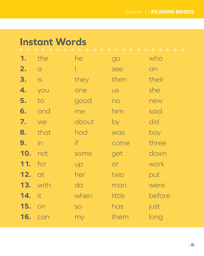#### **Instant Words**

| 1.             | the                      | he        | go         | who    |
|----------------|--------------------------|-----------|------------|--------|
| 2.             | $\alpha$                 |           | see        | an     |
| З.             | is                       | they      | then       | their  |
| 4.             | you                      | one       | <b>US</b>  | she    |
| 5.             | to                       | good      | no         | new    |
| 6.             | <b>and</b>               | me        | him        | said   |
| 7.             | we                       | about     | by         | did    |
| 8.             | that                     | had       | <b>Was</b> | boy    |
| 9.             | $\overline{\mathsf{in}}$ | if        | come       | three  |
| <b>10.</b> not |                          | some      | get        | down   |
| 11.            | for                      | <b>UP</b> | <b>or</b>  | work   |
| 12.            | <b>at</b>                | her       | two        | put    |
| 13.            | with                     | do        | man        | were   |
| 14.            | - it                     | when      | little     | before |
| 15.            | on                       | SO        | has        | just   |
| 16.            |                          |           | them       | long   |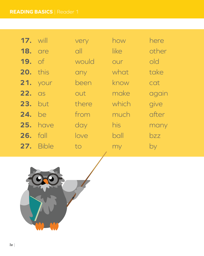#### **READING BASICS** | Reader 1

| <b>17.</b> will |                 | very       | how   | here  |
|-----------------|-----------------|------------|-------|-------|
| <b>18.</b> are  |                 | $\alpha$   | like  | other |
| 19. of          |                 | would      | our   | old   |
| <b>20.</b> this |                 | any        | what  | take  |
|                 | <b>21.</b> your | been       | know  | cat   |
| <b>22.</b> as   |                 | <b>out</b> | make  | again |
| <b>23.</b> but  |                 | there      | which | give  |
| $24.$ be        |                 | from       | much  | after |
|                 | <b>25.</b> have | day        | his   | many  |
| 26.             | $f$ $\Omega$    | love       | ball  | bzz   |
|                 | 27. Bible       | to         | my    | by    |
|                 |                 |            |       |       |

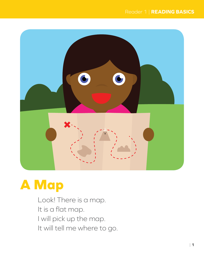



Look! There is a map. It is a flat map. I will pick up the map. It will tell me where to go.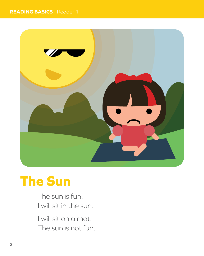

# **The Sun**

The sun is fun. I will sit in the sun. I will sit on a mat. The sun is not fun.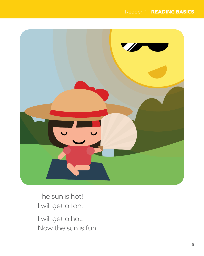

The sun is hot! I will get a fan. I will get a hat. Now the sun is fun.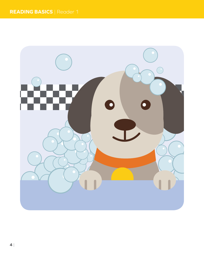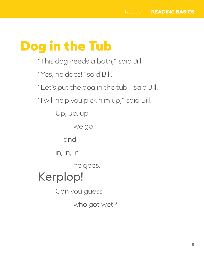## **Dog in the Tub**

"This dog needs a bath," said Jill.

"Yes, he does!" said Bill.

"Let's put the dog in the tub," said Jill.

"I will help you pick him up," said Bill.

Up, up, up

we go

and

in, in, in

he goes.

## Kerplop!

Can you guess

who got wet?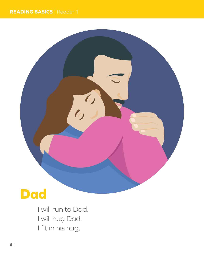

#### **Dad**

I will run to Dad. I will hug Dad. I fit in his hug.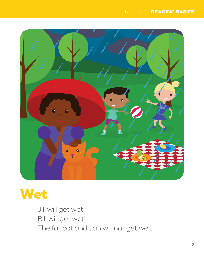

## **Wet**

Jill will get wet! Bill will get wet! The fat cat and Jan will not get wet.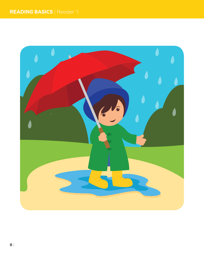